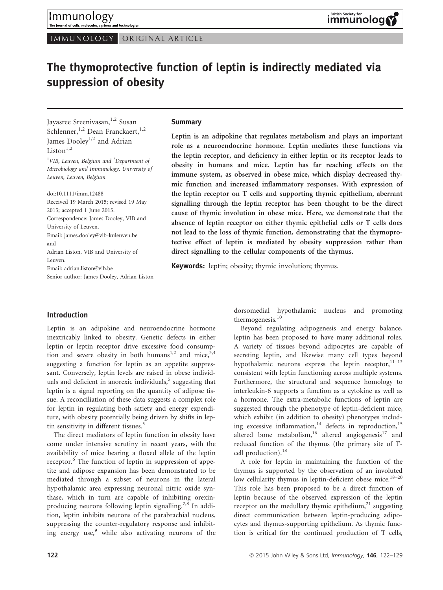IMMUNOLOGY ORIGINAL ARTICLE

# The thymoprotective function of leptin is indirectly mediated via suppression of obesity

Jayasree Sreenivasan, 1,2 Susan Schlenner,  $^{1,2}$  Dean Franckaert,  $^{1,2}$ James Dooley<sup>1,2</sup> and Adrian Liston $1,2$ <sup>1</sup>VIB, Leuven, Belgium and <sup>2</sup>Department of

Microbiology and Immunology, University of Leuven, Leuven, Belgium

doi:10.1111/imm.12488 Received 19 March 2015; revised 19 May 2015; accepted 1 June 2015. Correspondence: James Dooley, VIB and University of Leuven. Email: james.dooley@vib-kuleuven.be and Adrian Liston, VIB and University of Leuven. Email: adrian.liston@vib.be Senior author: James Dooley, Adrian Liston

#### **Summary**

Leptin is an adipokine that regulates metabolism and plays an important role as a neuroendocrine hormone. Leptin mediates these functions via the leptin receptor, and deficiency in either leptin or its receptor leads to obesity in humans and mice. Leptin has far reaching effects on the immune system, as observed in obese mice, which display decreased thymic function and increased inflammatory responses. With expression of the leptin receptor on T cells and supporting thymic epithelium, aberrant signalling through the leptin receptor has been thought to be the direct cause of thymic involution in obese mice. Here, we demonstrate that the absence of leptin receptor on either thymic epithelial cells or T cells does not lead to the loss of thymic function, demonstrating that the thymoprotective effect of leptin is mediated by obesity suppression rather than direct signalling to the cellular components of the thymus.

Keywords: leptin; obesity; thymic involution; thymus.

## Introduction

Leptin is an adipokine and neuroendocrine hormone inextricably linked to obesity. Genetic defects in either leptin or leptin receptor drive excessive food consumption and severe obesity in both humans<sup>1,2</sup> and mice,<sup>3,4</sup> suggesting a function for leptin as an appetite suppressant. Conversely, leptin levels are raised in obese individuals and deficient in anorexic individuals, $<sup>5</sup>$  suggesting that</sup> leptin is a signal reporting on the quantity of adipose tissue. A reconciliation of these data suggests a complex role for leptin in regulating both satiety and energy expenditure, with obesity potentially being driven by shifts in leptin sensitivity in different tissues.<sup>5</sup>

The direct mediators of leptin function in obesity have come under intensive scrutiny in recent years, with the availability of mice bearing a floxed allele of the leptin receptor.<sup>6</sup> The function of leptin in suppression of appetite and adipose expansion has been demonstrated to be mediated through a subset of neurons in the lateral hypothalamic area expressing neuronal nitric oxide synthase, which in turn are capable of inhibiting orexinproducing neurons following leptin signalling.<sup>7,8</sup> In addition, leptin inhibits neurons of the parabrachial nucleus, suppressing the counter-regulatory response and inhibiting energy use, $9$  while also activating neurons of the dorsomedial hypothalamic nucleus and promoting thermogenesis.<sup>10</sup>

Beyond regulating adipogenesis and energy balance, leptin has been proposed to have many additional roles. A variety of tissues beyond adipocytes are capable of secreting leptin, and likewise many cell types beyond hypothalamic neurons express the leptin receptor,  $11-13$ consistent with leptin functioning across multiple systems. Furthermore, the structural and sequence homology to interleukin-6 supports a function as a cytokine as well as a hormone. The extra-metabolic functions of leptin are suggested through the phenotype of leptin-deficient mice, which exhibit (in addition to obesity) phenotypes including excessive inflammation, $14$  defects in reproduction, $15$ altered bone metabolism,<sup>16</sup> altered angiogenesis<sup>17</sup> and reduced function of the thymus (the primary site of Tcell production).<sup>18</sup>

A role for leptin in maintaining the function of the thymus is supported by the observation of an involuted low cellularity thymus in leptin-deficient obese mice.<sup>18-20</sup> This role has been proposed to be a direct function of leptin because of the observed expression of the leptin receptor on the medullary thymic epithelium, $21$  suggesting direct communication between leptin-producing adipocytes and thymus-supporting epithelium. As thymic function is critical for the continued production of T cells,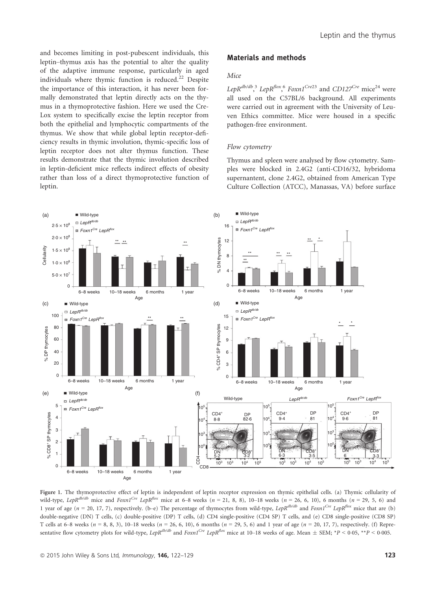and becomes limiting in post-pubescent individuals, this leptin–thymus axis has the potential to alter the quality of the adaptive immune response, particularly in aged individuals where thymic function is reduced.<sup>22</sup> Despite the importance of this interaction, it has never been formally demonstrated that leptin directly acts on the thymus in a thymoprotective fashion. Here we used the Cre-Lox system to specifically excise the leptin receptor from both the epithelial and lymphocytic compartments of the thymus. We show that while global leptin receptor-deficiency results in thymic involution, thymic-specific loss of leptin receptor does not alter thymus function. These results demonstrate that the thymic involution described in leptin-deficient mice reflects indirect effects of obesity rather than loss of a direct thymoprotective function of leptin.

### Materials and methods

## Mice

LepR<sup>db/db</sup>,<sup>3</sup> LepR<sup>flox</sup>,<sup>6</sup> Foxn1<sup>Cre23</sup> and CD127<sup>Cre</sup> mice<sup>24</sup> were all used on the C57BL/6 background. All experiments were carried out in agreement with the University of Leuven Ethics committee. Mice were housed in a specific pathogen-free environment.

#### Flow cytometry

Thymus and spleen were analysed by flow cytometry. Samples were blocked in 2.4G2 (anti-CD16/32, hybridoma supernantent, clone 2.4G2, obtained from American Type Culture Collection (ATCC), Manassas, VA) before surface



Figure 1. The thymoprotective effect of leptin is independent of leptin receptor expression on thymic epithelial cells. (a) Thymic cellularity of wild-type, LepR<sup>db/db</sup> mice and Foxn1<sup>Cre</sup> LepR<sup>flox</sup> mice at 6–8 weeks (n = 21, 8, 8), 10–18 weeks (n = 26, 6, 10), 6 months (n = 29, 5, 6) and 1 year of age ( $n = 20$ , 17, 7), respectively. (b–e) The percentage of thymocytes from wild-type, LepR<sup>db/db</sup> and Foxn1<sup>Cre</sup> LepR<sup>flox</sup> mice that are (b) double-negative (DN) T cells, (c) double-positive (DP) T cells, (d) CD4 single-positive (CD4 SP) T cells, and (e) CD8 single-positive (CD8 SP) T cells at 6–8 weeks  $(n = 8, 8, 3)$ , 10–18 weeks  $(n = 26, 6, 10)$ , 6 months  $(n = 29, 5, 6)$  and 1 year of age  $(n = 20, 17, 7)$ , respectively. (f) Representative flow cytometry plots for wild-type,  $LepR^{db/db}$  and  $Foxn1^{Cre} LepR^{flox}$  mice at 10–18 weeks of age. Mean  $\pm$  SEM; \*P < 0.05, \*\*P < 0.005.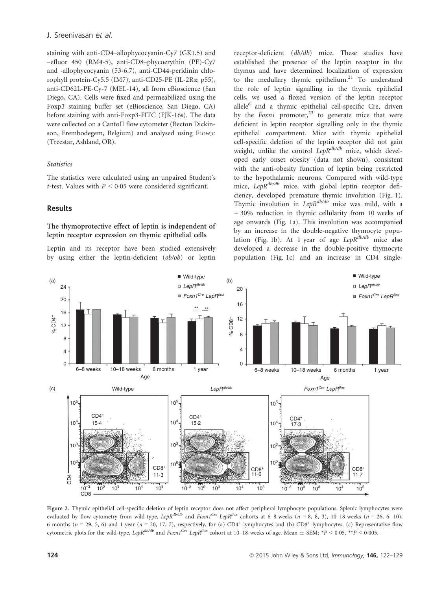#### J. Sreenivasan et al.

staining with anti-CD4–allophycocyanin-Cy7 (GK1.5) and –efluor 450 (RM4-5), anti-CD8–phycoerythin (PE)-Cy7 and -allophycocyanin (53-6.7), anti-CD44-peridinin chlorophyll protein-Cy5.5 (IM7), anti-CD25-PE (IL-2Ra; p55), anti-CD62L-PE-Cy-7 (MEL-14), all from eBioscience (San Diego, CA). Cells were fixed and permeabilized using the Foxp3 staining buffer set (eBioscience, San Diego, CA) before staining with anti-Foxp3-FITC (FJK-16s). The data were collected on a CantoII flow cytometer (Becton Dickinson, Erembodegem, Belgium) and analysed using FLOWJO (Treestar, Ashland, OR).

#### **Statistics**

The statistics were calculated using an unpaired Student's t-test. Values with  $P \le 0.05$  were considered significant.

#### Results

#### The thymoprotective effect of leptin is independent of leptin receptor expression on thymic epithelial cells

Leptin and its receptor have been studied extensively by using either the leptin-deficient (ob/ob) or leptin

receptor-deficient (db/db) mice. These studies have established the presence of the leptin receptor in the thymus and have determined localization of expression to the medullary thymic epithelium. $21$  To understand the role of leptin signalling in the thymic epithelial cells, we used a floxed version of the leptin receptor allele<sup>6</sup> and a thymic epithelial cell-specific Cre, driven by the Foxn1 promoter, $^{23}$  to generate mice that were deficient in leptin receptor signalling only in the thymic epithelial compartment. Mice with thymic epithelial cell-specific deletion of the leptin receptor did not gain weight, unlike the control  $LepR^{db/db}$  mice, which developed early onset obesity (data not shown), consistent with the anti-obesity function of leptin being restricted to the hypothalamic neurons. Compared with wild-type mice,  $LepR^{db/db}$  mice, with global leptin receptor deficiency, developed premature thymic involution (Fig. 1). Thymic involution in  $LepR^{db/db}$  mice was mild, with a  $\sim$  30% reduction in thymic cellularity from 10 weeks of age onwards (Fig. 1a). This involution was accompanied by an increase in the double-negative thymocyte population (Fig. 1b). At 1 year of age  $LepR^{db/db}$  mice also developed a decrease in the double-positive thymocyte population (Fig. 1c) and an increase in CD4 single-



Figure 2. Thymic epithelial cell-specific deletion of leptin receptor does not affect peripheral lymphocyte populations. Splenic lymphocytes were evaluated by flow cytometry from wild-type,  $LepR^{db/db}$  and  $Foxn1^{Cre} LepR^{flox}$  cohorts at 6–8 weeks (n = 8, 8, 3), 10–18 weeks (n = 26, 6, 10), 6 months ( $n = 29, 5, 6$ ) and 1 year ( $n = 20, 17, 7$ ), respectively, for (a) CD4<sup>+</sup> lymphocytes and (b) CD8<sup>+</sup> lymphocytes. (c) Representative flow cytometric plots for the wild-type, LepR<sup>db/db</sup> and Foxn1<sup>Cre</sup> LepR<sup>flox</sup> cohort at 10–18 weeks of age. Mean  $\pm$  SEM; \*P < 0.05, \*\*P < 0.005.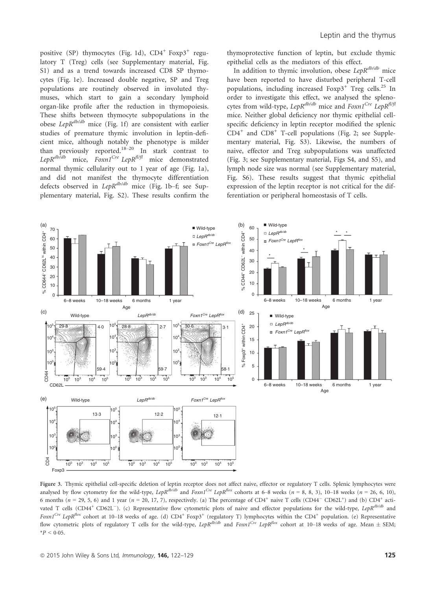positive (SP) thymocytes (Fig. 1d),  $CD4^+$  Foxp3<sup>+</sup> regulatory T (Treg) cells (see Supplementary material, Fig. S1) and as a trend towards increased CD8 SP thymocytes (Fig. 1e). Increased double negative, SP and Treg populations are routinely observed in involuted thymuses, which start to gain a secondary lymphoid organ-like profile after the reduction in thymopoiesis. These shifts between thymocyte subpopulations in the obese  $LebR^{db/db}$  mice (Fig. 1f) are consistent with earlier studies of premature thymic involution in leptin-deficient mice, although notably the phenotype is milder than previously reported.18–<sup>20</sup> In stark contrast to LepR<sup>db/db</sup> mice,  $Foxn1^{Cre}$  LepR $nfl$ <sup>th</sup> mice demonstrated normal thymic cellularity out to 1 year of age (Fig. 1a), and did not manifest the thymocyte differentiation defects observed in  $LepR^{db/db}$  mice (Fig. 1b–f; see Supplementary material, Fig. S2). These results confirm the thymoprotective function of leptin, but exclude thymic epithelial cells as the mediators of this effect.

In addition to thymic involution, obese  $LebR^{db/db}$  mice have been reported to have disturbed peripheral T-cell populations, including increased Foxp $3^+$  Treg cells.<sup>25</sup> In order to investigate this effect, we analysed the splenocytes from wild-type, LepR<sup>db/db</sup> mice and  $F(x)$ <sup>Cre</sup> LepR<sup>fl/fl</sup> mice. Neither global deficiency nor thymic epithelial cellspecific deficiency in leptin receptor modified the splenic  $CD4^+$  and  $CD8^+$  T-cell populations (Fig. 2; see Supplementary material, Fig. S3). Likewise, the numbers of naive, effector and Treg subpopulations was unaffected (Fig. 3; see Supplementary material, Figs S4, and S5), and lymph node size was normal (see Supplementary material, Fig. S6). These results suggest that thymic epithelial expression of the leptin receptor is not critical for the differentiation or peripheral homeostasis of T cells.



Figure 3. Thymic epithelial cell-specific deletion of leptin receptor does not affect naive, effector or regulatory T cells. Splenic lymphocytes were analysed by flow cytometry for the wild-type, LepR<sup>db/db</sup> and Foxn1<sup>Cre</sup> LepR<sup>flox</sup> cohorts at 6–8 weeks (n = 8, 8, 3), 10–18 weeks (n = 26, 6, 10), 6 months ( $n = 29, 5, 6$ ) and 1 year ( $n = 20, 17, 7$ ), respectively. (a) The percentage of CD4<sup>+</sup> naive T cells (CD44<sup>-</sup> CD62L<sup>+</sup>) and (b) CD4<sup>+</sup> activated T cells (CD44<sup>+</sup> CD62L<sup>-</sup>). (c) Representative flow cytometric plots of naive and effector populations for the wild-type, LepR<sup>db/db</sup> and Foxn1<sup>Cre</sup> LepR<sup>flox</sup> cohort at 10–18 weeks of age. (d) CD4<sup>+</sup> Foxp3<sup>+</sup> (regulatory T) lymphocytes within the CD4<sup>+</sup> population. (e) Representative flow cytometric plots of regulatory T cells for the wild-type,  $LepR^{db/db}$  and  $Foxn1^{Cre}$   $LepR^{flox}$  cohort at 10–18 weeks of age. Mean  $\pm$  SEM;  $*P < 0.05$ .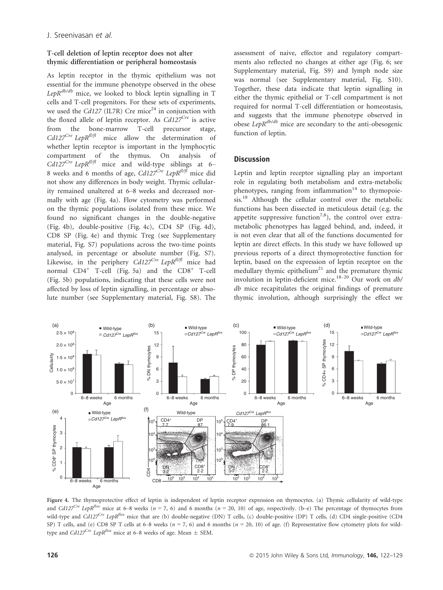## T-cell deletion of leptin receptor does not alter thymic differentiation or peripheral homeostasis

As leptin receptor in the thymic epithelium was not essential for the immune phenotype observed in the obese LepR<sup>db/db</sup> mice, we looked to block leptin signalling in T cells and T-cell progenitors. For these sets of experiments, we used the Cd127 (IL7R) Cre mice<sup>24</sup> in conjunction with the floxed allele of leptin receptor. As  $Cd127<sup>Cre</sup>$  is active from the bone-marrow T-cell precursor stage,  $Cd127<sup>Cre</sup> LepR<sup>f1/f1</sup>$  mice allow the determination of whether leptin receptor is important in the lymphocytic compartment of the thymus. On analysis of  $Cd127<sup>Cre</sup> LepR<sup>f1/f1</sup>$  mice and wild-type siblings at 6– 8 weeks and 6 months of age,  $Cd127^{Cre} LepR^{f l/f l}$  mice did not show any differences in body weight. Thymic cellularity remained unaltered at 6–8 weeks and decreased normally with age (Fig. 4a). Flow cytometry was performed on the thymic populations isolated from these mice. We found no significant changes in the double-negative (Fig. 4b), double-positive (Fig. 4c), CD4 SP (Fig. 4d), CD8 SP (Fig. 4e) and thymic Treg (see Supplementary material, Fig. S7) populations across the two-time points analysed, in percentage or absolute number (Fig. S7). Likewise, in the periphery  $Cd127<sup>Cre</sup> LepR<sup>f1/f1</sup>$  mice had normal  $CD4^+$  T-cell (Fig. 5a) and the  $CD8^+$  T-cell (Fig. 5b) populations, indicating that these cells were not affected by loss of leptin signalling, in percentage or absolute number (see Supplementary material, Fig. S8). The assessment of naive, effector and regulatory compartments also reflected no changes at either age (Fig. 6; see Supplementary material, Fig. S9) and lymph node size was normal (see Supplementary material, Fig. S10). Together, these data indicate that leptin signalling in either the thymic epithelial or T-cell compartment is not required for normal T-cell differentiation or homeostasis, and suggests that the immune phenotype observed in obese  $LebR^{db/db}$  mice are secondary to the anti-obesogenic function of leptin.

## **Discussion**

Leptin and leptin receptor signalling play an important role in regulating both metabolism and extra-metabolic phenotypes, ranging from inflammation $14$  to thymopoiesis.<sup>18</sup> Although the cellular control over the metabolic functions has been dissected in meticulous detail (e.g. the appetite suppressive function<sup>7,8</sup>), the control over extrametabolic phenotypes has lagged behind, and, indeed, it is not even clear that all of the functions documented for leptin are direct effects. In this study we have followed up previous reports of a direct thymoprotective function for leptin, based on the expression of leptin receptor on the medullary thymic epithelium<sup>21</sup> and the premature thymic involution in leptin-deficient mice.<sup>18–20</sup> Our work on  $db/$ db mice recapitulates the original findings of premature thymic involution, although surprisingly the effect we



Figure 4. The thymoprotective effect of leptin is independent of leptin receptor expression on thymocytes. (a) Thymic cellularity of wild-type and Cd127<sup>Cre</sup> LepR<sup>flox</sup> mice at 6–8 weeks (n = 7, 6) and 6 months (n = 20, 10) of age, respectively. (b–e) The percentage of thymocytes from wild-type and Cd127<sup>Cre</sup> LepR<sup>flox</sup> mice that are (b) double-negative (DN) T cells, (c) double-positive (DP) T cells, (d) CD4 single-positive (CD4 SP) T cells, and (e) CD8 SP T cells at 6–8 weeks ( $n = 7, 6$ ) and 6 months ( $n = 20, 10$ ) of age. (f) Representative flow cytometry plots for wildtype and Cd127<sup>Cre</sup> LepR<sup>flox</sup> mice at 6–8 weeks of age. Mean  $\pm$  SEM.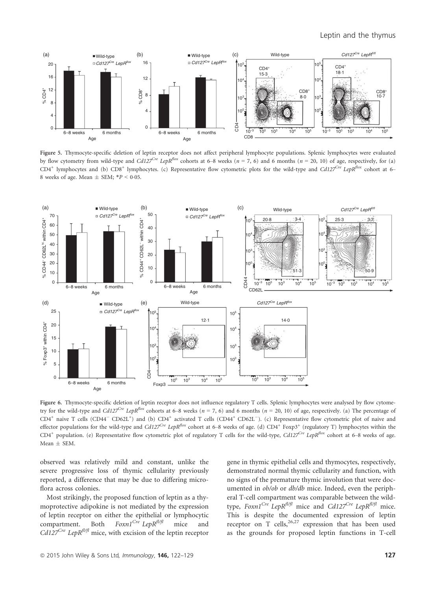

Figure 5. Thymocyte-specific deletion of leptin receptor does not affect peripheral lymphocyte populations. Splenic lymphocytes were evaluated by flow cytometry from wild-type and Cd127<sup>Cre</sup> LepR<sup>flox</sup> cohorts at 6–8 weeks (n = 7, 6) and 6 months (n = 20, 10) of age, respectively, for (a) CD4<sup>+</sup> lymphocytes and (b) CD8<sup>+</sup> lymphocytes. (c) Representative flow cytometric plots for the wild-type and Cd127<sup>Cre</sup> LepR<sup>flox</sup> cohort at 6-8 weeks of age. Mean  $\pm$  SEM;  $*P < 0.05$ .



Figure 6. Thymocyte-specific deletion of leptin receptor does not influence regulatory T cells. Splenic lymphocytes were analysed by flow cytometry for the wild-type and Cd127<sup>Cre</sup> LepR<sup>flox</sup> cohorts at 6–8 weeks (n = 7, 6) and 6 months (n = 20, 10) of age, respectively. (a) The percentage of CD4<sup>+</sup> naive T cells (CD44<sup>-</sup> CD62L<sup>+</sup>) and (b) CD4<sup>+</sup> activated T cells (CD44<sup>+</sup> CD62L<sup>-</sup>). (c) Representative flow cytometric plot of naive and effector populations for the wild-type and Cd127<sup>Cre</sup> LepR<sup>flox</sup> cohort at 6–8 weeks of age. (d) CD4<sup>+</sup> Foxp3<sup>+</sup> (regulatory T) lymphocytes within the CD4<sup>+</sup> population. (e) Representative flow cytometric plot of regulatory T cells for the wild-type, Cd127<sup>Cre</sup> LepR<sup>flox</sup> cohort at 6–8 weeks of age. Mean  $\pm$  SEM.

observed was relatively mild and constant, unlike the severe progressive loss of thymic cellularity previously reported, a difference that may be due to differing microflora across colonies.

Most strikingly, the proposed function of leptin as a thymoprotective adipokine is not mediated by the expression of leptin receptor on either the epithelial or lymphocytic compartment. Both  $Foxn1^{Cre} LepR^{fl/f}$  mice and  $Cd127<sup>Cre</sup> LepR<sup>f1/f1</sup>$  mice, with excision of the leptin receptor gene in thymic epithelial cells and thymocytes, respectively, demonstrated normal thymic cellularity and function, with no signs of the premature thymic involution that were documented in  $ob/ob$  or  $db/db$  mice. Indeed, even the peripheral T-cell compartment was comparable between the wildtype,  $Foxn1^{Cre} LepR<sup>f1/f1</sup>$  mice and  $Cd127^{Cre} LepR<sup>f1/f1</sup>$  mice. This is despite the documented expression of leptin receptor on  $T$  cells,<sup>26,27</sup> expression that has been used as the grounds for proposed leptin functions in T-cell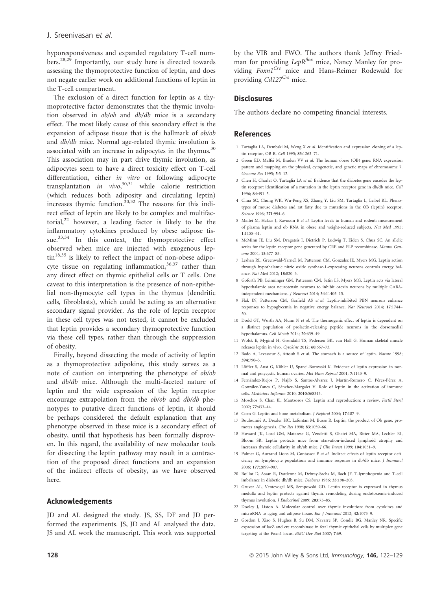hyporesponsiveness and expanded regulatory T-cell numbers.28,29 Importantly, our study here is directed towards assessing the thymoprotective function of leptin, and does not negate earlier work on additional functions of leptin in the T-cell compartment.

The exclusion of a direct function for leptin as a thymoprotective factor demonstrates that the thymic involution observed in ob/ob and db/db mice is a secondary effect. The most likely cause of this secondary effect is the expansion of adipose tissue that is the hallmark of ob/ob and  $db/db$  mice. Normal age-related thymic involution is associated with an increase in adipocytes in the thymus. $30$ This association may in part drive thymic involution, as adipocytes seem to have a direct toxicity effect on T-cell differentiation, either in vitro or following adipocyte transplantation in vivo, 30,31 while calorie restriction (which reduces both adiposity and circulating leptin) increases thymic function. $30,32$  The reasons for this indirect effect of leptin are likely to be complex and multifactorial, $22$  however, a leading factor is likely to be the inflammatory cytokines produced by obese adipose tissue.<sup>33,34</sup> In this context, the thymoprotective effect observed when mice are injected with exogenous lep- $\sin^{18,35}$  is likely to reflect the impact of non-obese adipocyte tissue on regulating inflammation,  $36,37$  rather than any direct effect on thymic epithelial cells or T cells. One caveat to this interpretation is the presence of non-epithelial non-thymocyte cell types in the thymus (dendritic cells, fibroblasts), which could be acting as an alternative secondary signal provider. As the role of leptin receptor in these cell types was not tested, it cannot be excluded that leptin provides a secondary thymoprotective function via these cell types, rather than through the suppression of obesity.

Finally, beyond dissecting the mode of activity of leptin as a thymoprotective adipokine, this study serves as a note of caution on interpreting the phenotype of ob/ob and db/db mice. Although the multi-faceted nature of leptin and the wide expression of the leptin receptor encourage extrapolation from the ob/ob and db/db phenotypes to putative direct functions of leptin, it should be perhaps considered the default explanation that any phenotype observed in these mice is a secondary effect of obesity, until that hypothesis has been formally disproven. In this regard, the availability of new molecular tools for dissecting the leptin pathway may result in a contraction of the proposed direct functions and an expansion of the indirect effects of obesity, as we have observed here.

### Acknowledgements

JD and AL designed the study. JS, SS, DF and JD performed the experiments. JS, JD and AL analysed the data. JS and AL work the manuscript. This work was supported by the VIB and FWO. The authors thank Jeffrey Friedman for providing  $LepR^{flox}$  mice, Nancy Manley for providing Foxn1<sup>Cre</sup> mice and Hans-Reimer Rodewald for providing  $Cd127^{Cre}$  mice.

#### **Disclosures**

The authors declare no competing financial interests.

#### References

- 1 Tartaglia LA, Dembski M, Weng X et al. Identification and expression cloning of a leptin receptor, OB-R. Cell 1995; 83:1263–71.
- 2 Green ED, Maffei M, Braden VV et al. The human obese (OB) gene: RNA expression pattern and mapping on the physical, cytogenetic, and genetic maps of chromosome 7. Genome Res 1995; 5:5–12.
- 3 Chen H, Charlat O, Tartaglia LA et al. Evidence that the diabetes gene encodes the leptin receptor: identification of a mutation in the leptin receptor gene in db/db mice. Cell 1996; 84:491–5.
- 4 Chua SC, Chung WK, Wu-Peng XS, Zhang Y, Liu SM, Tartaglia L, Leibel RL. Phenotypes of mouse diabetes and rat fatty due to mutations in the OB (leptin) receptor.
- S*cience* 1996; 271:994–6.<br>5 Maffei M, Halaas J, Ravussin E *et al*. Leptin levels in human and rodent: measurement of plasma leptin and ob RNA in obese and weight-reduced subjects. Nat Med 1995; 1:1155–61.
- 6 McMinn JE, Liu SM, Dragatsis I, Dietrich P, Ludwig T, Eiden S, Chua SC. An allelic series for the leptin receptor gene generated by CRE and FLP recombinase. Mamm Genome 2004; 15:677–85.
- 7 Leshan RL, Greenwald-Yarnell M, Patterson CM, Gonzalez IE, Myers MG. Leptin action through hypothalamic nitric oxide synthase-1-expressing neurons controls energy balance. Nat Med 2012; 18:820–3.
- 8 Goforth PB, Leinninger GM, Patterson CM, Satin LS, Myers MG. Leptin acts via lateral hypothalamic area neurotensin neurons to inhibit orexin neurons by multiple GABAindependent mechanisms. J Neurosci 2014; 34:11405–15.
- 9 Flak JN, Patterson CM, Garfield AS et al. Leptin-inhibited PBN neurons enhance responses to hypoglycemia in negative energy balance. Nat Neurosci 2014; 17:1744– 50.
- 10 Dodd GT, Worth AA, Nunn N et al. The thermogenic effect of leptin is dependent on a distinct population of prolactin-releasing peptide neurons in the dorsomedial hypothalamus. Cell Metab 2014; 20:639–49.
- 11 Wolsk E, Mygind H, Grøndahl TS, Pedersen BK, van Hall G. Human skeletal muscle releases leptin in vivo. Cytokine 2012; 60:667–73.
- 12 Bado A, Levasseur S, Attoub S et al. The stomach is a source of leptin. Nature 1998 394:790–3.
- 13 Löffler S, Aust G, Köhler U, Spanel-Borowski K. Evidence of leptin expression in normal and polycystic human ovaries. Mol Hum Reprod 2001; 7:1143–9.
- 14 Fernández-Riejos P, Najib S, Santos-Alvarez J, Martín-Romero C, Pérez-Pérez A González-Yanes C, Sánchez-Margalet V. Role of leptin in the activation of immune cells. Mediators Inflamm 2010; 2010:568343.
- 15 Moschos S, Chan JL, Mantzoros CS. Leptin and reproduction: a review. Fertil Steril 2002; 77:433–44.
- 16 Coen G. Leptin and bone metabolism. J Nephrol 2004; 17:187–9.
- 17 Bouloumié A, Drexler HC, Lafontan M, Busse R. Leptin, the product of Ob gene, promotes angiogenesis. Circ Res 1998; 83:1059–66.
- 18 Howard JK, Lord GM, Matarese G, Vendetti S, Ghatei MA, Ritter MA, Lechler RI, Bloom SR. Leptin protects mice from starvation-induced lymphoid atrophy and increases thymic cellularity in ob/ob mice. J Clin Invest 1999; 104:1051–9.
- 19 Palmer G, Aurrand-Lions M, Contassot E et al. Indirect effects of leptin receptor deficiency on lymphocyte populations and immune response in db/db mice. J Immunol 2006; 177:2899–907.
- 20 Boillot D, Assan R, Dardenne M, Debray-Sachs M, Bach JF. T-lymphopenia and T-cell imbalance in diabetic db/db mice. Diabetes 1986; 35:198–203.
- 21 Gruver AL, Ventevogel MS, Sempowski GD. Leptin receptor is expressed in thymus medulla and leptin protects against thymic remodeling during endotoxemia-induced thymus involution. *I Endocrinol* 2009; 203:75-85.
- 22 Dooley J, Liston A. Molecular control over thymic involution: from cytokines and microRNA to aging and adipose tissue. Eur J Immunol 2012; <sup>42</sup>:1073–9.
- 23 Gordon J, Xiao S, Hughes B, Su DM, Navarre SP, Condie BG, Manley NR. Specific expression of lacZ and cre recombinase in fetal thymic epithelial cells by multiplex gene targeting at the Foxn1 locus. BMC Dev Biol 2007; 7:69.